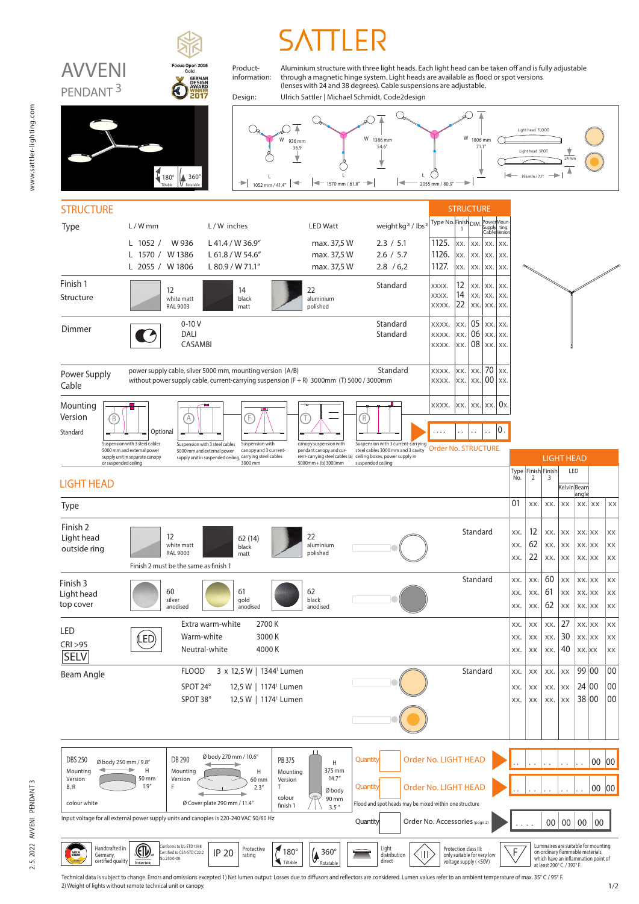

Technical data is subject to change. Errors and omissions excepted 1) Net lumen output: Losses due to diffusors and reflectors are considered. Lumen values refer to an ambient temperature of max. 35° C / 95° F. 2) Weight of lights without remote technical unit or canopy.